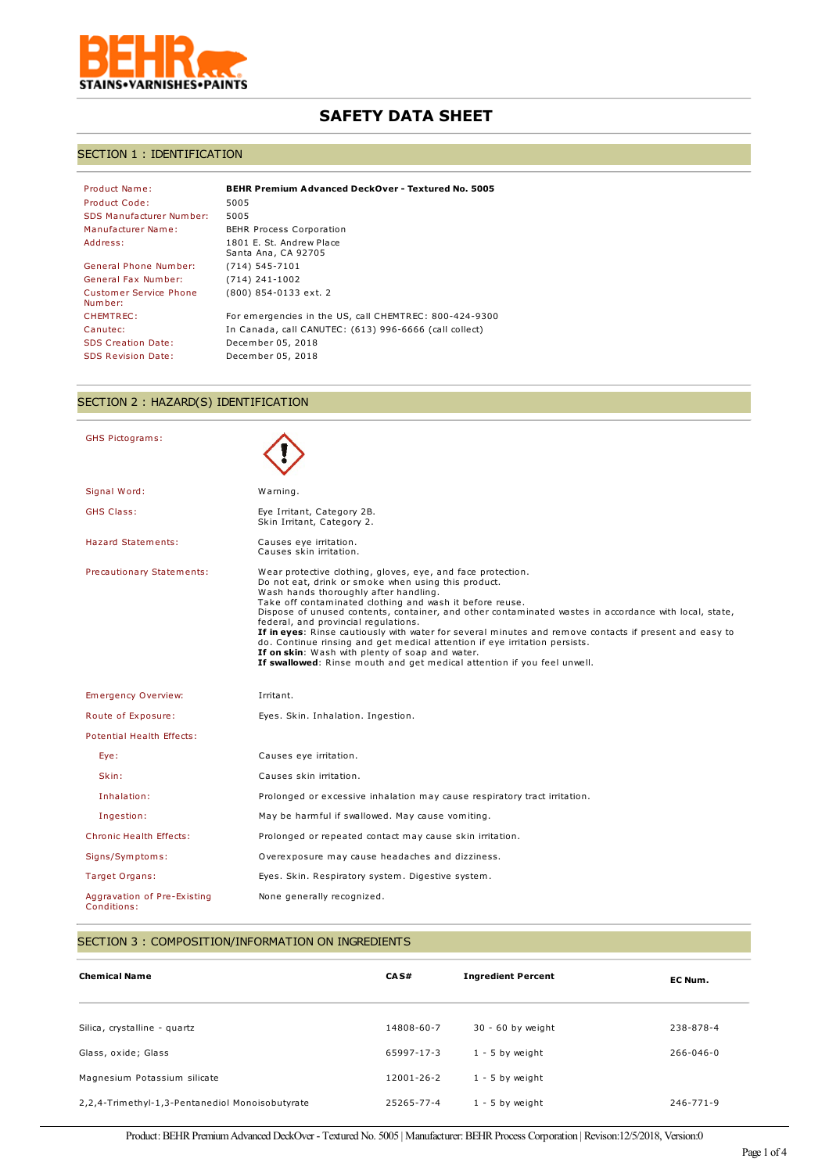

# **SAFETY DATA SHEET**

# SECTION 1 : IDENTIFICATION

| <b>BEHR Premium Advanced DeckOver - Textured No. 5005</b> |
|-----------------------------------------------------------|
| 5005                                                      |
| 5005                                                      |
| <b>BEHR Process Corporation</b>                           |
| 1801 E. St. Andrew Place<br>Santa Ana, CA 92705           |
| $(714) 545 - 7101$                                        |
| $(714)$ 241-1002                                          |
| (800) 854-0133 ext. 2                                     |
| For emergencies in the US, call CHEMTREC: 800-424-9300    |
| In Canada, call CANUTEC: (613) 996-6666 (call collect)    |
| December 05, 2018                                         |
| December 05, 2018                                         |
|                                                           |

# SECTION 2 : HAZARD(S) IDENTIFICATION

| <b>GHS Pictograms:</b>                     |                                                                                                                                                                                                                                                                                                                                                                                                                                                                                                                                                                                                                                                                                                |
|--------------------------------------------|------------------------------------------------------------------------------------------------------------------------------------------------------------------------------------------------------------------------------------------------------------------------------------------------------------------------------------------------------------------------------------------------------------------------------------------------------------------------------------------------------------------------------------------------------------------------------------------------------------------------------------------------------------------------------------------------|
| Signal Word:                               | Warning.                                                                                                                                                                                                                                                                                                                                                                                                                                                                                                                                                                                                                                                                                       |
| <b>GHS Class:</b>                          | Eye Irritant, Category 2B.<br>Skin Irritant, Category 2.                                                                                                                                                                                                                                                                                                                                                                                                                                                                                                                                                                                                                                       |
| <b>Hazard Statements:</b>                  | Causes eye irritation.<br>Causes skin irritation.                                                                                                                                                                                                                                                                                                                                                                                                                                                                                                                                                                                                                                              |
| Precautionary Statements:                  | Wear protective clothing, gloves, eye, and face protection.<br>Do not eat, drink or smoke when using this product.<br>Wash hands thoroughly after handling.<br>Take off contaminated clothing and wash it before reuse.<br>Dispose of unused contents, container, and other contaminated wastes in accordance with local, state,<br>federal, and provincial regulations.<br>If in eyes: Rinse cautiously with water for several minutes and remove contacts if present and easy to<br>do. Continue rinsing and get medical attention if eye irritation persists.<br>If on skin: Wash with plenty of soap and water.<br>If swallowed: Rinse mouth and get medical attention if you feel unwell. |
| Emergency Overview:                        | Irritant.                                                                                                                                                                                                                                                                                                                                                                                                                                                                                                                                                                                                                                                                                      |
| Route of Exposure:                         | Eyes. Skin. Inhalation. Ingestion.                                                                                                                                                                                                                                                                                                                                                                                                                                                                                                                                                                                                                                                             |
| Potential Health Effects:                  |                                                                                                                                                                                                                                                                                                                                                                                                                                                                                                                                                                                                                                                                                                |
| Eye:                                       | Causes eye irritation.                                                                                                                                                                                                                                                                                                                                                                                                                                                                                                                                                                                                                                                                         |
| Skin:                                      | Causes skin irritation.                                                                                                                                                                                                                                                                                                                                                                                                                                                                                                                                                                                                                                                                        |
| Inhalation:                                | Prolonged or excessive inhalation may cause respiratory tract irritation.                                                                                                                                                                                                                                                                                                                                                                                                                                                                                                                                                                                                                      |
| Ingestion:                                 | May be harmful if swallowed. May cause vomiting.                                                                                                                                                                                                                                                                                                                                                                                                                                                                                                                                                                                                                                               |
| <b>Chronic Health Effects:</b>             | Prolonged or repeated contact may cause skin irritation.                                                                                                                                                                                                                                                                                                                                                                                                                                                                                                                                                                                                                                       |
| Signs/Symptoms:                            | Overexposure may cause headaches and dizziness.                                                                                                                                                                                                                                                                                                                                                                                                                                                                                                                                                                                                                                                |
| Target Organs:                             | Eyes. Skin. Respiratory system. Digestive system.                                                                                                                                                                                                                                                                                                                                                                                                                                                                                                                                                                                                                                              |
| Aggravation of Pre-Existing<br>Conditions: | None generally recognized.                                                                                                                                                                                                                                                                                                                                                                                                                                                                                                                                                                                                                                                                     |

# SECTION 3 : COMPOSITION/INFORMATION ON INGREDIENTS

| <b>Chemical Name</b>                            | CAS#       | <b>Ingredient Percent</b> | EC Num.         |
|-------------------------------------------------|------------|---------------------------|-----------------|
| Silica, crystalline - quartz                    | 14808-60-7 | 30 - 60 by weight         | 238-878-4       |
| Glass, oxide; Glass                             | 65997-17-3 | $1 - 5$ by weight         | $266 - 046 - 0$ |
| Magnesium Potassium silicate                    | 12001-26-2 | $1 - 5$ by weight         |                 |
| 2,2,4-Trimethyl-1,3-Pentanediol Monoisobutyrate | 25265-77-4 | $1 - 5$ by weight         | 246-771-9       |

Product: BEHR Premium Advanced DeckOver - Textured No. 5005 | Manufacturer: BEHR Process Corporation | Revison:12/5/2018, Version:0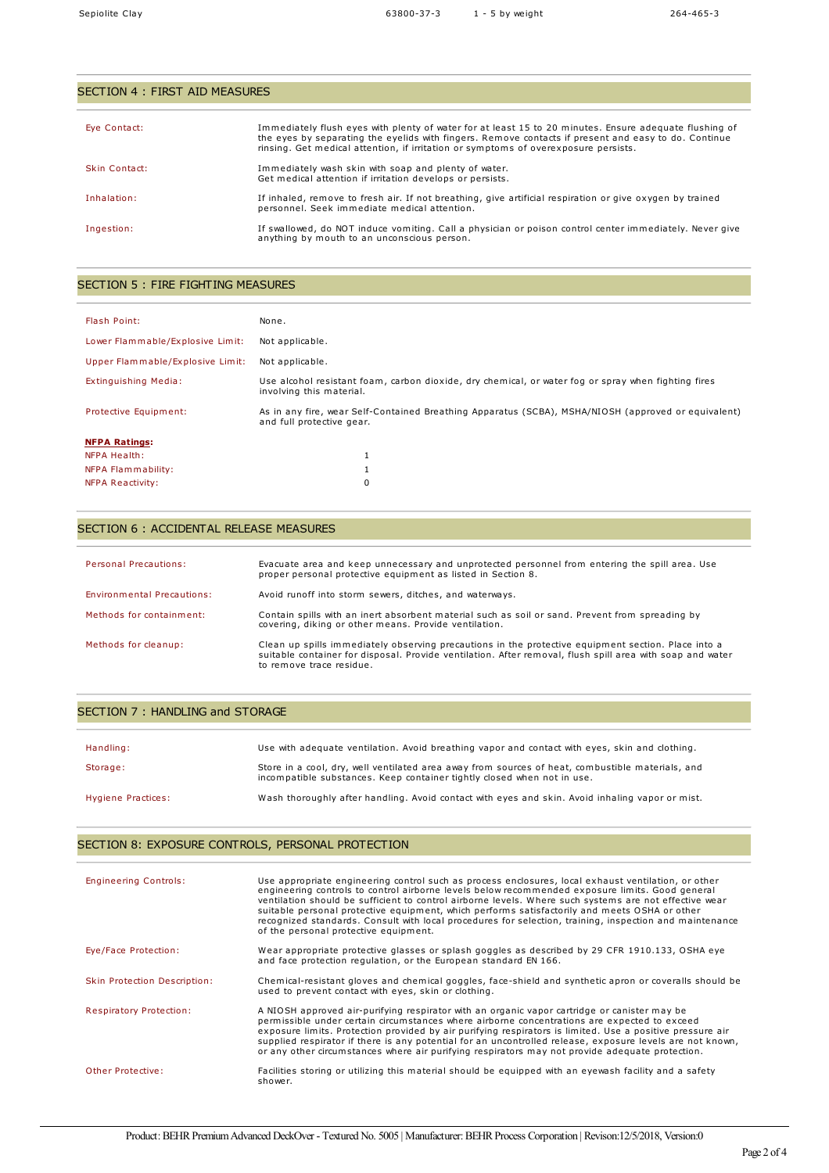| SECTION 4 : FIRST AID MEASURES |                                                                                                                                                                                                                                                                                                       |  |
|--------------------------------|-------------------------------------------------------------------------------------------------------------------------------------------------------------------------------------------------------------------------------------------------------------------------------------------------------|--|
|                                |                                                                                                                                                                                                                                                                                                       |  |
| Eye Contact:                   | Immediately flush eyes with plenty of water for at least 15 to 20 minutes. Ensure adequate flushing of<br>the eyes by separating the eyelids with fingers. Remove contacts if present and easy to do. Continue<br>rinsing. Get medical attention, if irritation or symptoms of overexposure persists. |  |
| Skin Contact:                  | Immediately wash skin with soap and plenty of water.<br>Get medical attention if irritation develops or persists.                                                                                                                                                                                     |  |
| Inhalation:                    | If inhaled, remove to fresh air. If not breathing, give artificial respiration or give oxygen by trained<br>personnel. Seek immediate medical attention.                                                                                                                                              |  |
| Ingestion:                     | If swallowed, do NOT induce vomiting. Call a physician or poison control center immediately. Never give<br>anything by mouth to an unconscious person.                                                                                                                                                |  |

# SECTION 5 : FIRE FIGHTING MEASURES

| Flash Point:                     | None.                                                                                                                            |  |
|----------------------------------|----------------------------------------------------------------------------------------------------------------------------------|--|
| Lower Flammable/Explosive Limit: | Not applicable.                                                                                                                  |  |
| Upper Flammable/Explosive Limit: | Not applicable.                                                                                                                  |  |
| Extinguishing Media:             | Use alcohol resistant foam, carbon dioxide, dry chemical, or water fog or spray when fighting fires<br>involving this material.  |  |
| Protective Equipment:            | As in any fire, wear Self-Contained Breathing Apparatus (SCBA), MSHA/NIOSH (approved or equivalent)<br>and full protective gear. |  |
| <b>NFPA Ratings:</b>             |                                                                                                                                  |  |
| NFPA Health:                     |                                                                                                                                  |  |
| NFPA Flammability:               | J.                                                                                                                               |  |
| NFPA Reactivity:                 | 0                                                                                                                                |  |

# SECTION 6 : ACCIDENTAL RELEASE MEASURES

| <b>Personal Precautions:</b> | Evacuate area and keep unnecessary and unprotected personnel from entering the spill area. Use<br>proper personal protective equipment as listed in Section 8.                                                                               |
|------------------------------|----------------------------------------------------------------------------------------------------------------------------------------------------------------------------------------------------------------------------------------------|
| Environmental Precautions:   | Avoid runoff into storm sewers, ditches, and waterways.                                                                                                                                                                                      |
| Methods for containment:     | Contain spills with an inert absorbent material such as soil or sand. Prevent from spreading by<br>covering, diking or other means. Provide ventilation.                                                                                     |
| Methods for cleanup:         | Clean up spills immediately observing precautions in the protective equipment section. Place into a<br>suitable container for disposal. Provide ventilation. After removal, flush spill area with soap and water<br>to remove trace residue. |

### SECTION 7 : HANDLING and STORAGE

| Handling:          | Use with adequate ventilation. Avoid breathing vapor and contact with eyes, skin and clothing.                                                                              |
|--------------------|-----------------------------------------------------------------------------------------------------------------------------------------------------------------------------|
| Storage:           | Store in a cool, dry, well ventilated area away from sources of heat, combustible materials, and<br>incompatible substances. Keep container tightly closed when not in use. |
| Hygiene Practices: | Wash thoroughly after handling. Avoid contact with eyes and skin. Avoid inhaling vapor or mist.                                                                             |

# SECTION 8: EXPOSURE CONTROLS, PERSONAL PROTECTION

| <b>Engineering Controls:</b>   | Use appropriate engineering control such as process enclosures, local exhaust ventilation, or other<br>engineering controls to control airborne levels below recommended exposure limits. Good general<br>ventilation should be sufficient to control airborne levels. Where such systems are not effective wear<br>suitable personal protective equipment, which performs satisfactorily and meets OSHA or other<br>recognized standards. Consult with local procedures for selection, training, inspection and maintenance<br>of the personal protective equipment. |
|--------------------------------|-----------------------------------------------------------------------------------------------------------------------------------------------------------------------------------------------------------------------------------------------------------------------------------------------------------------------------------------------------------------------------------------------------------------------------------------------------------------------------------------------------------------------------------------------------------------------|
| Eye/Face Protection:           | Wear appropriate protective glasses or splash goggles as described by 29 CFR 1910.133, OSHA eye<br>and face protection regulation, or the European standard EN 166.                                                                                                                                                                                                                                                                                                                                                                                                   |
| Skin Protection Description:   | Chemical-resistant gloves and chemical goggles, face-shield and synthetic apron or coveralls should be<br>used to prevent contact with eyes, skin or clothing.                                                                                                                                                                                                                                                                                                                                                                                                        |
| <b>Respiratory Protection:</b> | A NIOSH approved air-purifying respirator with an organic vapor cartridge or canister may be<br>permissible under certain circumstances where airborne concentrations are expected to exceed<br>exposure limits. Protection provided by air purifying respirators is limited. Use a positive pressure air<br>supplied respirator if there is any potential for an uncontrolled release, exposure levels are not known,<br>or any other circumstances where air purifying respirators may not provide adequate protection.                                             |
| Other Protective:              | Facilities storing or utilizing this material should be equipped with an eyewash facility and a safety<br>shower.                                                                                                                                                                                                                                                                                                                                                                                                                                                     |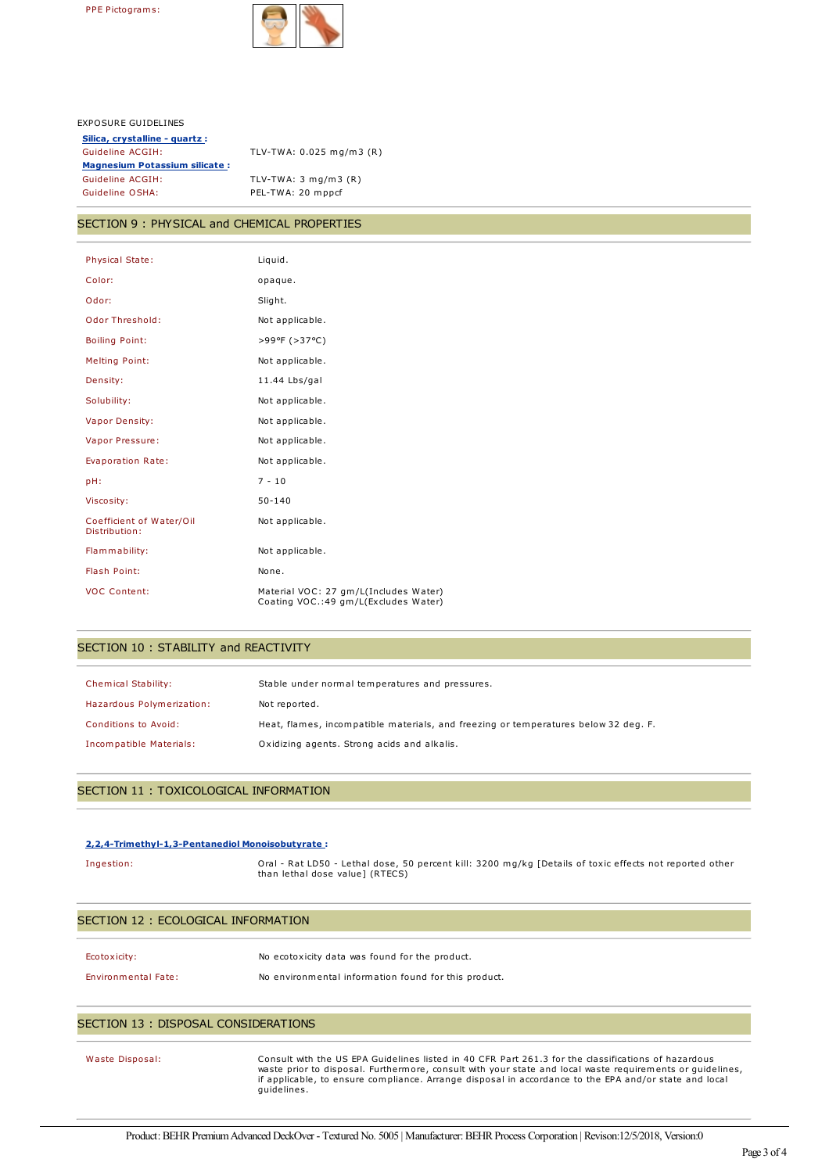

#### EXPOSURE GUIDELINES

| Silica, crystalline - quartz :       |                                   |
|--------------------------------------|-----------------------------------|
| Guideline ACGIH:                     | TLV-TWA: 0.025 mg/m3 (R)          |
| <b>Magnesium Potassium silicate:</b> |                                   |
| Guideline ACGIH:                     | TLV-TWA: $3 \text{ mg/m}$ $3 (R)$ |
| Guideline OSHA:                      | PEL-TWA: 20 mppcf                 |

# SECTION 9 : PHYSICAL and CHEMICAL PROPERTIES

| <b>Physical State:</b>                    | Liquid.                                                                        |
|-------------------------------------------|--------------------------------------------------------------------------------|
| Color:                                    | opaque.                                                                        |
| Odor:                                     | Slight.                                                                        |
| Odor Threshold:                           | Not applicable.                                                                |
| <b>Boiling Point:</b>                     | >99ºF (>37°C)                                                                  |
| <b>Melting Point:</b>                     | Not applicable.                                                                |
| Density:                                  | 11.44 Lbs/gal                                                                  |
| Solubility:                               | Not applicable.                                                                |
| <b>Vapor Density:</b>                     | Not applicable.                                                                |
| Vapor Pressure:                           | Not applicable.                                                                |
| <b>Evaporation Rate:</b>                  | Not applicable.                                                                |
| pH:                                       | $7 - 10$                                                                       |
| Viscosity:                                | $50 - 140$                                                                     |
| Coefficient of Water/Oil<br>Distribution: | Not applicable.                                                                |
| Flammability:                             | Not applicable.                                                                |
| Flash Point:                              | None.                                                                          |
| <b>VOC Content:</b>                       | Material VOC: 27 gm/L(Includes Water)<br>Coating VOC.: 49 gm/L(Excludes Water) |

### SECTION 10 : STABILITY and REACTIVITY

| <b>Chemical Stability:</b> | Stable under normal temperatures and pressures.                                     |
|----------------------------|-------------------------------------------------------------------------------------|
| Hazardous Polymerization:  | Not reported.                                                                       |
| Conditions to Avoid:       | Heat, flames, incompatible materials, and freezing or temperatures below 32 deg. F. |
| Incompatible Materials:    | Oxidizing agents. Strong acids and alkalis.                                         |

## SECTION 11 : TOXICOLOGICAL INFORMATION

#### **2,2,4-Trimethyl-1,3-Pentanediol Monoisobutyrate :**

Ingestion: Oral - Rat LD50 - Lethal dose, 50 percent kill: 3200 mg/kg [Details of toxic effects not reported other than lethal dose value] (RTECS)

#### SECTION 12 : ECOLOGICAL INFORMATION

| Ecotoxicity: | No ecotoxicity data was found for the product. |
|--------------|------------------------------------------------|
|              |                                                |

#### Environmental Fate: No environmental information found for this product.

#### SECTION 13 : DISPOSAL CONSIDERATIONS

Waste Disposal: Consult with the US EPA Guidelines listed in 40 CFR Part 261.3 for the classifications of hazardous waste prior to disposal. Furthermore, consult with your state and local waste requirements or guidelines, if applicable, to ensure compliance. Arrange disposal in accordance to the EPA and/or state and local guidelines.